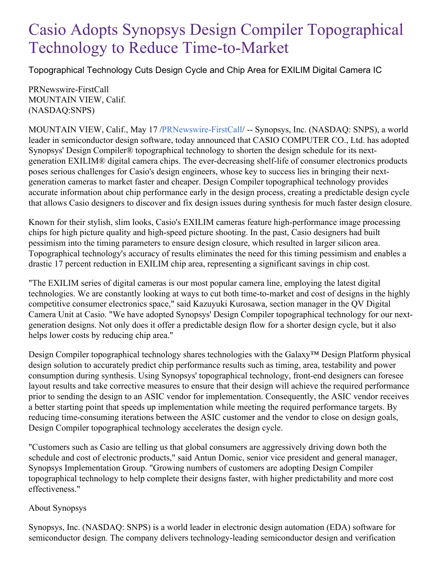## Casio Adopts Synopsys Design Compiler Topographical Technology to Reduce Time-to-Market

Topographical Technology Cuts Design Cycle and Chip Area for EXILIM Digital Camera IC

PRNewswire-FirstCall MOUNTAIN VIEW, Calif. (NASDAQ:SNPS)

MOUNTAIN VIEW, Calif., May 17 [/PRNewswire-FirstCall](http://www.prnewswire.com/)/ -- Synopsys, Inc. (NASDAQ: SNPS), a world leader in semiconductor design software, today announced that CASIO COMPUTER CO., Ltd. has adopted Synopsys' Design Compiler® topographical technology to shorten the design schedule for its nextgeneration EXILIM® digital camera chips. The ever-decreasing shelf-life of consumer electronics products poses serious challenges for Casio's design engineers, whose key to success lies in bringing their nextgeneration cameras to market faster and cheaper. Design Compiler topographical technology provides accurate information about chip performance early in the design process, creating a predictable design cycle that allows Casio designers to discover and fix design issues during synthesis for much faster design closure.

Known for their stylish, slim looks, Casio's EXILIM cameras feature high-performance image processing chips for high picture quality and high-speed picture shooting. In the past, Casio designers had built pessimism into the timing parameters to ensure design closure, which resulted in larger silicon area. Topographical technology's accuracy of results eliminates the need for this timing pessimism and enables a drastic 17 percent reduction in EXILIM chip area, representing a significant savings in chip cost.

"The EXILIM series of digital cameras is our most popular camera line, employing the latest digital technologies. We are constantly looking at ways to cut both time-to-market and cost of designs in the highly competitive consumer electronics space," said Kazuyuki Kurosawa, section manager in the QV Digital Camera Unit at Casio. "We have adopted Synopsys' Design Compiler topographical technology for our nextgeneration designs. Not only does it offer a predictable design flow for a shorter design cycle, but it also helps lower costs by reducing chip area."

Design Compiler topographical technology shares technologies with the Galaxy™ Design Platform physical design solution to accurately predict chip performance results such as timing, area, testability and power consumption during synthesis. Using Synopsys' topographical technology, front-end designers can foresee layout results and take corrective measures to ensure that their design will achieve the required performance prior to sending the design to an ASIC vendor for implementation. Consequently, the ASIC vendor receives a better starting point that speeds up implementation while meeting the required performance targets. By reducing time-consuming iterations between the ASIC customer and the vendor to close on design goals, Design Compiler topographical technology accelerates the design cycle.

"Customers such as Casio are telling us that global consumers are aggressively driving down both the schedule and cost of electronic products," said Antun Domic, senior vice president and general manager, Synopsys Implementation Group. "Growing numbers of customers are adopting Design Compiler topographical technology to help complete their designs faster, with higher predictability and more cost effectiveness."

## About Synopsys

Synopsys, Inc. (NASDAQ: SNPS) is a world leader in electronic design automation (EDA) software for semiconductor design. The company delivers technology-leading semiconductor design and verification